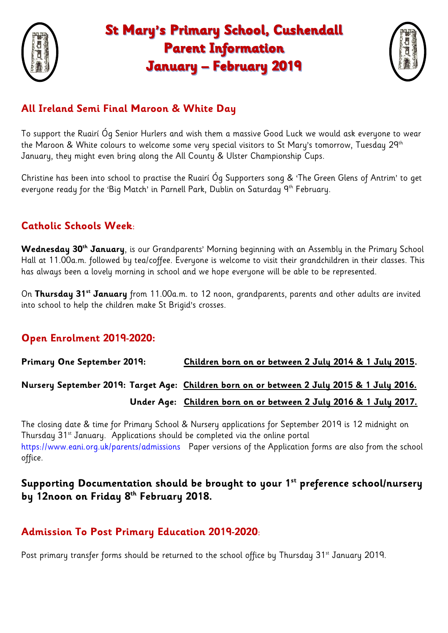

# **St Mary's Primary School, Cushendall Parent Information January - February 2019**



### **All Ireland Semi Final Maroon & White Day**

To support the Ruairí Óg Senior Hurlers and wish them a massive Good Luck we would ask everyone to wear the Maroon & White colours to welcome some very special visitors to St Mary's tomorrow, Tuesday 29<sup>th</sup> January, they might even bring along the All County & Ulster Championship Cups.

Christine has been into school to practise the Ruairí Óg Supporters song & 'The Green Glens of Antrim' to get everyone ready for the 'Big Match' in Parnell Park, Dublin on Saturday 9<sup>th</sup> February.

#### **Catholic Schools Week**:

**Wednesday 30th January**, is our Grandparents' Morning beginning with an Assembly in the Primary School Hall at 11.00a.m. followed by tea/coffee. Everyone is welcome to visit their grandchildren in their classes. This has always been a lovely morning in school and we hope everyone will be able to be represented.

On **Thursday 31st January** from 11.00a.m. to 12 noon, grandparents, parents and other adults are invited into school to help the children make St Brigid's crosses.

#### **Open Enrolment 2019-2020:**

**Primary One September 2019: Children born on or between 2 July 2014 & 1 July 2015.**

## **Nursery September 2019: Target Age: Children born on or between 2 July 2015 & 1 July 2016. Under Age: Children born on or between 2 July 2016 & 1 July 2017.**

The closing date & time for Primary School & Nursery applications for September 2019 is 12 midnight on Thursday 31<sup>st</sup> January. Applications should be completed via the online portal <https://www.eani.org.uk/parents/admissions>Paper versions of the Application forms are also from the school office.

#### **Supporting Documentation should be brought to your 1st preference school/nursery by 12noon on Friday 8th February 2018.**

#### **Admission To Post Primary Education 2019-2020**:

Post primary transfer forms should be returned to the school office by Thursday 31<sup>st</sup> January 2019.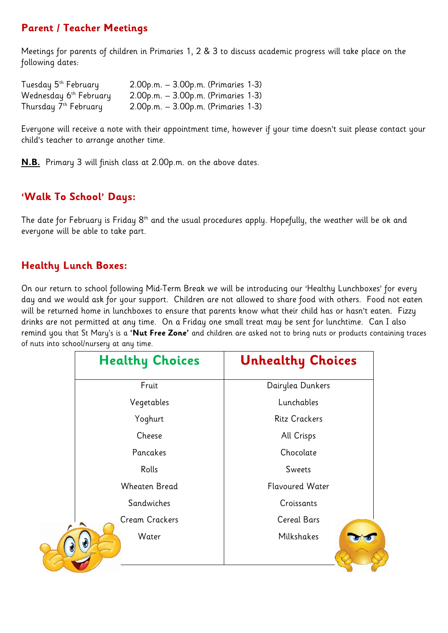#### **Parent / Teacher Meetings**

Meetings for parents of children in Primaries 1, 2 & 3 to discuss academic progress will take place on the following dates:

| Tuesday 5 <sup>th</sup> February   | 2.00p.m. – 3.00p.m. (Primaries 1-3)       |
|------------------------------------|-------------------------------------------|
| Wednesday 6 <sup>th</sup> February | 2.00p.m. - 3.00p.m. (Primaries 1-3)       |
| Thursday 7th February              | $2.00$ p.m. – $3.00$ p.m. (Primaries 1-3) |

Everyone will receive a note with their appointment time, however if your time doesn't suit please contact your child's teacher to arrange another time.

**N.B.** Primary 3 will finish class at 2.00p.m. on the above dates.

#### **'Walk To School' Days:**

The date for February is Friday 8<sup>th</sup> and the usual procedures apply. Hopefully, the weather will be ok and everyone will be able to take part.

#### **Healthy Lunch Boxes:**

On our return to school following Mid-Term Break we will be introducing our 'Healthy Lunchboxes' for every day and we would ask for your support. Children are not allowed to share food with others. Food not eaten will be returned home in lunchboxes to ensure that parents know what their child has or hasn't eaten. Fizzy drinks are not permitted at any time. On a Friday one small treat may be sent for lunchtime. Can I also remind you that St Mary's is a **'Nut Free Zone'** and children are asked not to bring nuts or products containing traces of nuts into school/nursery at any time.

| <b>Healthy Choices</b> | <b>Unhealthy Choices</b> |
|------------------------|--------------------------|
| Fruit                  | Dairylea Dunkers         |
| Vegetables             | Lunchables               |
| Yoghurt                | <b>Ritz Crackers</b>     |
| Cheese                 | All Crisps               |
| Pancakes               | Chocolate                |
| Rolls                  | Sweets                   |
| <b>Wheaten Bread</b>   | <b>Flavoured Water</b>   |
| Sandwiches             | Croissants               |
| <b>Cream Crackers</b>  | <b>Cereal Bars</b>       |
| Water                  | Milkshakes               |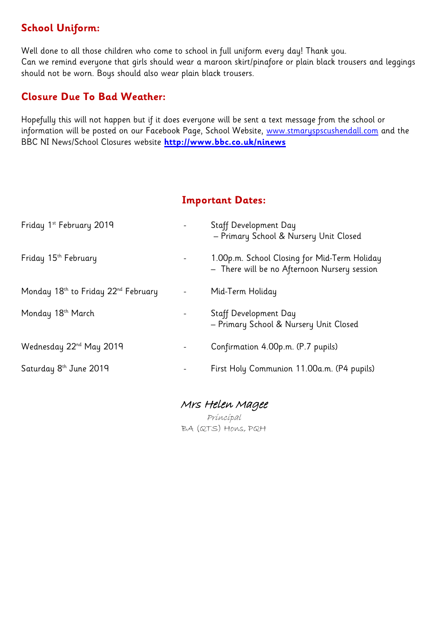#### **School Uniform:**

Well done to all those children who come to school in full uniform every day! Thank you. Can we remind everyone that girls should wear a maroon skirt/pinafore or plain black trousers and leggings should not be worn. Boys should also wear plain black trousers.

#### **Closure Due To Bad Weather:**

Hopefully this will not happen but if it does everyone will be sent a text message from the school or information will be posted on our Facebook Page, School Website, [www.stmaryspscushendall.com](http://www.stmaryspscushendall.com/) and the BBC NI News/School Closures website **<http://www.bbc.co.uk/ninews>**

#### **Important Dates:**

| Friday 1st February 2019                                    | <b>Staff Development Day</b><br>- Primary School & Nursery Unit Closed                       |
|-------------------------------------------------------------|----------------------------------------------------------------------------------------------|
| Friday 15 <sup>th</sup> February                            | 1.00p.m. School Closing for Mid-Term Holiday<br>- There will be no Afternoon Nursery session |
| Monday 18 <sup>th</sup> to Friday 22 <sup>nd</sup> February | Mid-Term Holiday                                                                             |
| Monday 18 <sup>th</sup> March                               | Staff Development Day<br>- Primary School & Nursery Unit Closed                              |
| Wednesday 22 <sup>nd</sup> May 2019                         | Confirmation 4.00p.m. (P.7 pupils)                                                           |
| Saturday 8 <sup>th</sup> June 2019                          | First Holy Communion 11.00a.m. (P4 pupils)                                                   |
|                                                             |                                                                                              |

Mrs Helen Magee Principal BA (QTS) Hons, PQH